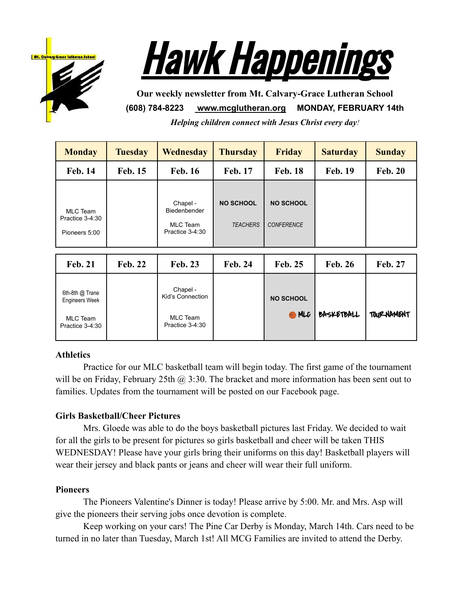



**Our weekly newsletter from Mt. Calvary-Grace Lutheran School (608) 784-8223 [www.mcglutheran.org](http://www.mcglutheran.org/) MONDAY, FEBRUARY 14th** *Helping children connect with Jesus Christ every day!*

| <b>Monday</b>                                                                  | <b>Tuesday</b> | Wednesday<br><b>Thursday</b>                                       |                                     | <b>Friday</b>                         | <b>Saturday</b> | <b>Sunday</b>     |
|--------------------------------------------------------------------------------|----------------|--------------------------------------------------------------------|-------------------------------------|---------------------------------------|-----------------|-------------------|
| <b>Feb. 14</b>                                                                 | <b>Feb. 15</b> | <b>Feb. 16</b>                                                     | <b>Feb. 17</b>                      | <b>Feb. 18</b>                        | <b>Feb. 19</b>  | <b>Feb. 20</b>    |
| <b>MLC</b> Team<br>Practice 3-4:30<br>Pioneers 5:00                            |                | Chapel -<br>Biedenbender<br><b>MLC</b> Team<br>Practice 3-4:30     | <b>NO SCHOOL</b><br><b>TEACHERS</b> | <b>NO SCHOOL</b><br><b>CONFERENCE</b> |                 |                   |
| <b>Feb. 21</b>                                                                 | <b>Feb. 22</b> | <b>Feb. 23</b>                                                     | <b>Feb. 24</b>                      | <b>Feb. 25</b>                        | <b>Feb. 26</b>  | Feb. 27           |
| 6th-8th @ Trane<br><b>Engineers Week</b><br><b>MLC</b> Team<br>Practice 3-4:30 |                | Chapel -<br>Kid's Connection<br><b>MLC</b> Team<br>Practice 3-4:30 |                                     | <b>NO SCHOOL</b><br><b>RAMLC</b>      | BASKETBALL      | <b>TOURNAMENT</b> |

# **Athletics**

Practice for our MLC basketball team will begin today. The first game of the tournament will be on Friday, February 25th  $\omega$ , 3:30. The bracket and more information has been sent out to families. Updates from the tournament will be posted on our Facebook page.

# **Girls Basketball/Cheer Pictures**

Mrs. Gloede was able to do the boys basketball pictures last Friday. We decided to wait for all the girls to be present for pictures so girls basketball and cheer will be taken THIS WEDNESDAY! Please have your girls bring their uniforms on this day! Basketball players will wear their jersey and black pants or jeans and cheer will wear their full uniform.

# **Pioneers**

The Pioneers Valentine's Dinner is today! Please arrive by 5:00. Mr. and Mrs. Asp will give the pioneers their serving jobs once devotion is complete.

Keep working on your cars! The Pine Car Derby is Monday, March 14th. Cars need to be turned in no later than Tuesday, March 1st! All MCG Families are invited to attend the Derby.